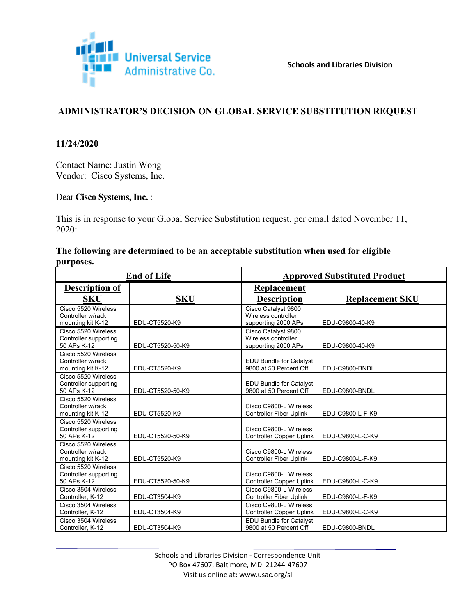

## **ADMINISTRATOR'S DECISION ON GLOBAL SERVICE SUBSTITUTION REQUEST**

### **11/24/2020**

Contact Name: Justin Wong Vendor: Cisco Systems, Inc.

#### Dear **Cisco Systems, Inc.** :

This is in response to your Global Service Substitution request, per email dated November 11, 2020:

### **The following are determined to be an acceptable substitution when used for eligible purposes.**

| <b>End of Life</b>                                            |                  |                                                                   | <b>Approved Substituted Product</b> |  |  |
|---------------------------------------------------------------|------------------|-------------------------------------------------------------------|-------------------------------------|--|--|
| <b>Description of</b><br><b>SKU</b>                           | <b>SKU</b>       | <b>Replacement</b><br><b>Description</b>                          | <b>Replacement SKU</b>              |  |  |
| Cisco 5520 Wireless<br>Controller w/rack<br>mounting kit K-12 | EDU-CT5520-K9    | Cisco Catalyst 9800<br>Wireless controller<br>supporting 2000 APs | EDU-C9800-40-K9                     |  |  |
| Cisco 5520 Wireless<br>Controller supporting<br>50 APs K-12   | EDU-CT5520-50-K9 | Cisco Catalyst 9800<br>Wireless controller<br>supporting 2000 APs | EDU-C9800-40-K9                     |  |  |
| Cisco 5520 Wireless<br>Controller w/rack<br>mounting kit K-12 | EDU-CT5520-K9    | <b>EDU Bundle for Catalyst</b><br>9800 at 50 Percent Off          | EDU-C9800-BNDL                      |  |  |
| Cisco 5520 Wireless<br>Controller supporting<br>50 APs K-12   | EDU-CT5520-50-K9 | <b>EDU Bundle for Catalyst</b><br>9800 at 50 Percent Off          | EDU-C9800-BNDL                      |  |  |
| Cisco 5520 Wireless<br>Controller w/rack<br>mounting kit K-12 | EDU-CT5520-K9    | Cisco C9800-L Wireless<br><b>Controller Fiber Uplink</b>          | EDU-C9800-L-F-K9                    |  |  |
| Cisco 5520 Wireless<br>Controller supporting<br>50 APs K-12   | EDU-CT5520-50-K9 | Cisco C9800-L Wireless<br><b>Controller Copper Uplink</b>         | EDU-C9800-L-C-K9                    |  |  |
| Cisco 5520 Wireless<br>Controller w/rack<br>mounting kit K-12 | EDU-CT5520-K9    | Cisco C9800-L Wireless<br><b>Controller Fiber Uplink</b>          | EDU-C9800-L-F-K9                    |  |  |
| Cisco 5520 Wireless<br>Controller supporting<br>50 APs K-12   | EDU-CT5520-50-K9 | Cisco C9800-L Wireless<br><b>Controller Copper Uplink</b>         | EDU-C9800-L-C-K9                    |  |  |
| Cisco 3504 Wireless<br>Controller, K-12                       | EDU-CT3504-K9    | Cisco C9800-L Wireless<br><b>Controller Fiber Uplink</b>          | EDU-C9800-L-F-K9                    |  |  |
| Cisco 3504 Wireless<br>Controller, K-12                       | EDU-CT3504-K9    | Cisco C9800-L Wireless<br><b>Controller Copper Uplink</b>         | EDU-C9800-L-C-K9                    |  |  |
| Cisco 3504 Wireless<br>Controller, K-12                       | EDU-CT3504-K9    | <b>EDU Bundle for Catalyst</b><br>9800 at 50 Percent Off          | EDU-C9800-BNDL                      |  |  |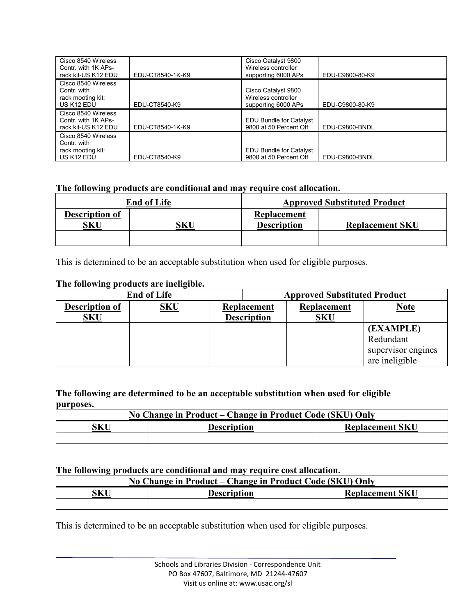| Cisco 8540 Wireless<br>Contr. with 1K APs-<br>rack kit-US K12 EDU                 | EDU-CT8540-1K-K9 | Cisco Catalyst 9800<br>Wireless controller<br>supporting 6000 APs | EDU-C9800-80-K9 |
|-----------------------------------------------------------------------------------|------------------|-------------------------------------------------------------------|-----------------|
| Cisco 8540 Wireless<br>Contr. with<br>rack mooting kit:<br>US K <sub>12</sub> EDU | EDU-CT8540-K9    | Cisco Catalyst 9800<br>Wireless controller<br>supporting 6000 APs | EDU-C9800-80-K9 |
| Cisco 8540 Wireless<br>Contr. with 1K APs-<br>rack kit-US K12 EDU                 | EDU-CT8540-1K-K9 | <b>EDU Bundle for Catalyst</b><br>9800 at 50 Percent Off          | EDU-C9800-BNDL  |
| Cisco 8540 Wireless<br>Contr. with<br>rack mooting kit:<br>US K12 EDU             | EDU-CT8540-K9    | EDU Bundle for Catalyst<br>9800 at 50 Percent Off                 | EDU-C9800-BNDL  |

### **The following products are conditional and may require cost allocation.**

| <b>End of Life</b>    |     | <b>Approved Substituted Product</b> |                        |
|-----------------------|-----|-------------------------------------|------------------------|
| Description of<br>SKU | 5KU | Replacement<br><b>Description</b>   | <b>Replacement SKU</b> |
|                       |     |                                     |                        |

This is determined to be an acceptable substitution when used for eligible purposes.

## **The following products are ineligible.**

| <b>End of Life</b>                  |            | <b>Approved Substituted Product</b>      |                           |                                                                |
|-------------------------------------|------------|------------------------------------------|---------------------------|----------------------------------------------------------------|
| <b>Description of</b><br><b>SKU</b> | <b>SKU</b> | <b>Replacement</b><br><b>Description</b> | Replacement<br><b>SKU</b> | <b>Note</b>                                                    |
|                                     |            |                                          |                           | (EXAMPLE)<br>Redundant<br>supervisor engines<br>are ineligible |

#### **The following are determined to be an acceptable substitution when used for eligible purposes.**

| No Change in Product – Change in Product Code (SKU) Only |                    |                        |  |
|----------------------------------------------------------|--------------------|------------------------|--|
| SKU                                                      | <b>Description</b> | <b>Replacement SKU</b> |  |
|                                                          |                    |                        |  |

#### **The following products are conditional and may require cost allocation.**

| No Change in Product – Change in Product Code (SKU) Only |  |                        |  |
|----------------------------------------------------------|--|------------------------|--|
| SKU<br><b>Description</b>                                |  | <b>Replacement SKU</b> |  |
|                                                          |  |                        |  |

This is determined to be an acceptable substitution when used for eligible purposes.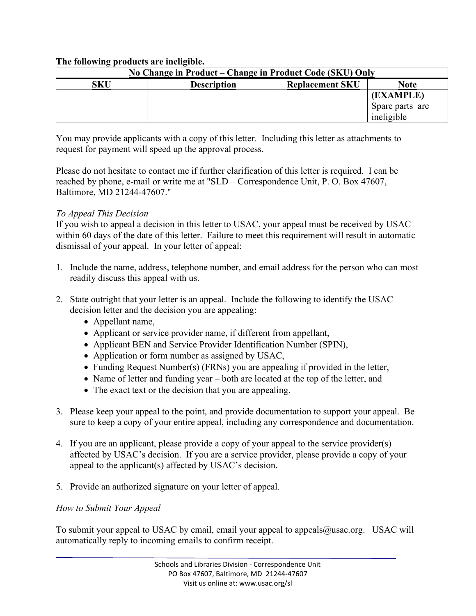## **The following products are ineligible.**

| No Change in Product – Change in Product Code (SKU) Only |                    |                        |                 |
|----------------------------------------------------------|--------------------|------------------------|-----------------|
| SKU                                                      | <b>Description</b> | <b>Replacement SKU</b> | Note            |
|                                                          |                    |                        | (EXAMPLE)       |
|                                                          |                    |                        | Spare parts are |
|                                                          |                    |                        | ineligible      |

You may provide applicants with a copy of this letter. Including this letter as attachments to request for payment will speed up the approval process.

Please do not hesitate to contact me if further clarification of this letter is required. I can be reached by phone, e-mail or write me at "SLD – Correspondence Unit, P. O. Box 47607, Baltimore, MD 21244-47607."

# *To Appeal This Decision*

If you wish to appeal a decision in this letter to USAC, your appeal must be received by USAC within 60 days of the date of this letter. Failure to meet this requirement will result in automatic dismissal of your appeal. In your letter of appeal:

- 1. Include the name, address, telephone number, and email address for the person who can most readily discuss this appeal with us.
- 2. State outright that your letter is an appeal. Include the following to identify the USAC decision letter and the decision you are appealing:
	- Appellant name,
	- Applicant or service provider name, if different from appellant,
	- Applicant BEN and Service Provider Identification Number (SPIN),
	- Application or form number as assigned by USAC,
	- Funding Request Number(s) (FRNs) you are appealing if provided in the letter,
	- Name of letter and funding year both are located at the top of the letter, and
	- The exact text or the decision that you are appealing.
- 3. Please keep your appeal to the point, and provide documentation to support your appeal. Be sure to keep a copy of your entire appeal, including any correspondence and documentation.
- 4. If you are an applicant, please provide a copy of your appeal to the service provider(s) affected by USAC's decision. If you are a service provider, please provide a copy of your appeal to the applicant(s) affected by USAC's decision.
- 5. Provide an authorized signature on your letter of appeal.

# *How to Submit Your Appeal*

To submit your appeal to USAC by email, email your appeal to appeals@usac.org. USAC will automatically reply to incoming emails to confirm receipt.